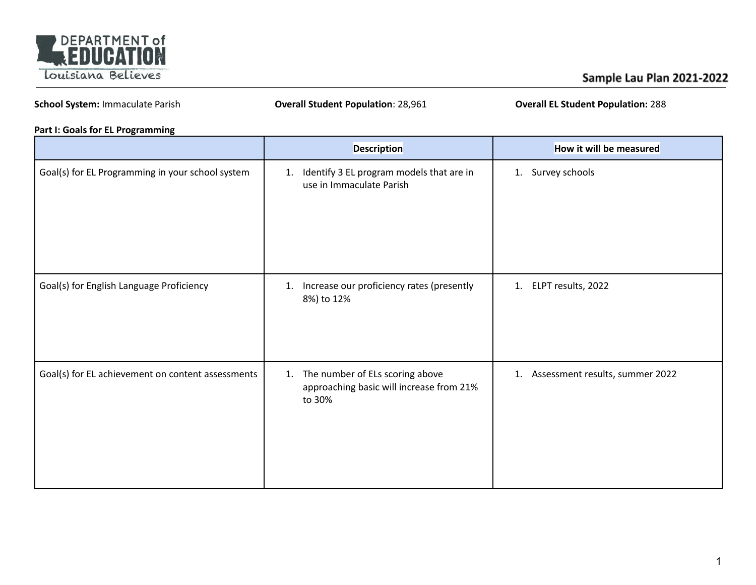

## Sample Lau Plan 2021-2022

**School System:** Immaculate Parish **Overall Student Population**: 28,961 **Overall EL Student Population:** 288

### **Part I: Goals for EL Programming**

|                                                   | <b>Description</b>                                                                          | How it will be measured            |
|---------------------------------------------------|---------------------------------------------------------------------------------------------|------------------------------------|
| Goal(s) for EL Programming in your school system  | Identify 3 EL program models that are in<br>1.<br>use in Immaculate Parish                  | 1. Survey schools                  |
| Goal(s) for English Language Proficiency          | Increase our proficiency rates (presently<br>1.<br>8%) to 12%                               | 1. ELPT results, 2022              |
| Goal(s) for EL achievement on content assessments | The number of ELs scoring above<br>1.<br>approaching basic will increase from 21%<br>to 30% | 1. Assessment results, summer 2022 |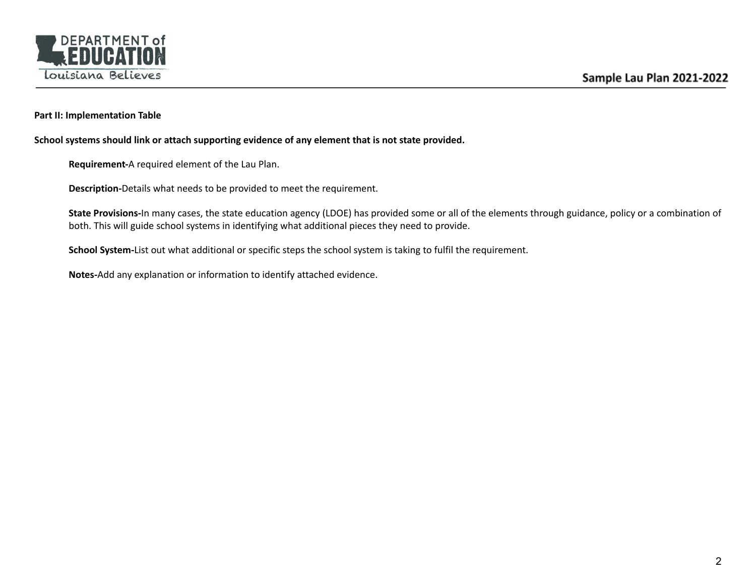

### **Part II: Implementation Table**

**School systems should link or attach supporting evidence of any element that is not state provided.**

**Requirement-**A required element of the Lau Plan.

**Description-**Details what needs to be provided to meet the requirement.

**State Provisions-**In many cases, the state education agency (LDOE) has provided some or all of the elements through guidance, policy or a combination of both. This will guide school systems in identifying what additional pieces they need to provide.

**School System-**List out what additional or specific steps the school system is taking to fulfil the requirement.

**Notes-**Add any explanation or information to identify attached evidence.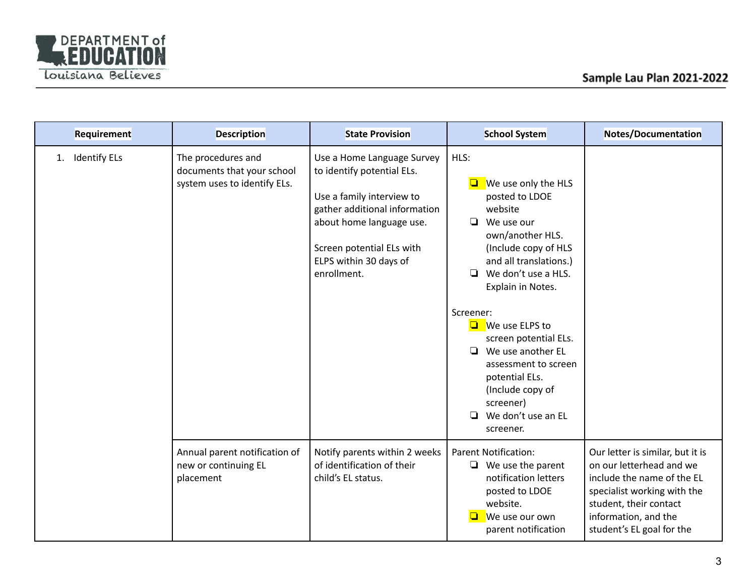

| Requirement               | <b>Description</b>                                                               | <b>State Provision</b>                                                                                                                                                                                                   | <b>School System</b>                                                                                                                                                                                                                                                                                                                                                                                             | Notes/Documentation                                                                                                                                                                                      |
|---------------------------|----------------------------------------------------------------------------------|--------------------------------------------------------------------------------------------------------------------------------------------------------------------------------------------------------------------------|------------------------------------------------------------------------------------------------------------------------------------------------------------------------------------------------------------------------------------------------------------------------------------------------------------------------------------------------------------------------------------------------------------------|----------------------------------------------------------------------------------------------------------------------------------------------------------------------------------------------------------|
| <b>Identify ELs</b><br>1. | The procedures and<br>documents that your school<br>system uses to identify ELs. | Use a Home Language Survey<br>to identify potential ELs.<br>Use a family interview to<br>gather additional information<br>about home language use.<br>Screen potential ELs with<br>ELPS within 30 days of<br>enrollment. | HLS:<br>We use only the HLS<br>posted to LDOE<br>website<br>$\Box$ We use our<br>own/another HLS.<br>(Include copy of HLS<br>and all translations.)<br>We don't use a HLS.<br>❏<br>Explain in Notes.<br>Screener:<br>$\Box$ We use ELPS to<br>screen potential ELs.<br>We use another EL<br>□<br>assessment to screen<br>potential ELs.<br>(Include copy of<br>screener)<br>❏<br>We don't use an EL<br>screener. |                                                                                                                                                                                                          |
|                           | Annual parent notification of<br>new or continuing EL<br>placement               | Notify parents within 2 weeks<br>of identification of their<br>child's EL status.                                                                                                                                        | <b>Parent Notification:</b><br>$\Box$ We use the parent<br>notification letters<br>posted to LDOE<br>website.<br>We use our own<br>parent notification                                                                                                                                                                                                                                                           | Our letter is similar, but it is<br>on our letterhead and we<br>include the name of the EL<br>specialist working with the<br>student, their contact<br>information, and the<br>student's EL goal for the |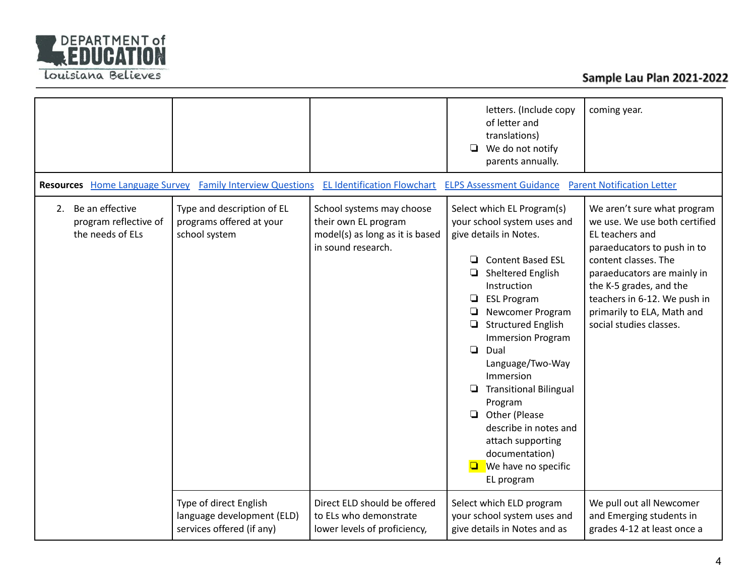

|                                                                 |                                                                                   |                                                                                                            | letters. (Include copy<br>of letter and<br>translations)<br>We do not notify<br>❏<br>parents annually.                                                                                                                                                                                                                                                                                                                                                                                               | coming year.                                                                                                                                                                                                                                                                              |
|-----------------------------------------------------------------|-----------------------------------------------------------------------------------|------------------------------------------------------------------------------------------------------------|------------------------------------------------------------------------------------------------------------------------------------------------------------------------------------------------------------------------------------------------------------------------------------------------------------------------------------------------------------------------------------------------------------------------------------------------------------------------------------------------------|-------------------------------------------------------------------------------------------------------------------------------------------------------------------------------------------------------------------------------------------------------------------------------------------|
| <b>Resources</b> Home Language Survey                           | <b>Family Interview Questions</b>                                                 | <b>EL Identification Flowchart</b>                                                                         | <b>ELPS Assessment Guidance</b>                                                                                                                                                                                                                                                                                                                                                                                                                                                                      | <b>Parent Notification Letter</b>                                                                                                                                                                                                                                                         |
| 2. Be an effective<br>program reflective of<br>the needs of ELs | Type and description of EL<br>programs offered at your<br>school system           | School systems may choose<br>their own EL program<br>model(s) as long as it is based<br>in sound research. | Select which EL Program(s)<br>your school system uses and<br>give details in Notes.<br><b>Content Based ESL</b><br>❏<br>Sheltered English<br>Instruction<br><b>ESL Program</b><br>❏<br>Newcomer Program<br><b>Structured English</b><br>❏<br><b>Immersion Program</b><br>$\Box$<br>Dual<br>Language/Two-Way<br>Immersion<br>❏<br><b>Transitional Bilingual</b><br>Program<br>Other (Please<br>□<br>describe in notes and<br>attach supporting<br>documentation)<br>We have no specific<br>EL program | We aren't sure what program<br>we use. We use both certified<br>EL teachers and<br>paraeducators to push in to<br>content classes. The<br>paraeducators are mainly in<br>the K-5 grades, and the<br>teachers in 6-12. We push in<br>primarily to ELA, Math and<br>social studies classes. |
|                                                                 | Type of direct English<br>language development (ELD)<br>services offered (if any) | Direct ELD should be offered<br>to ELs who demonstrate<br>lower levels of proficiency,                     | Select which ELD program<br>your school system uses and<br>give details in Notes and as                                                                                                                                                                                                                                                                                                                                                                                                              | We pull out all Newcomer<br>and Emerging students in<br>grades 4-12 at least once a                                                                                                                                                                                                       |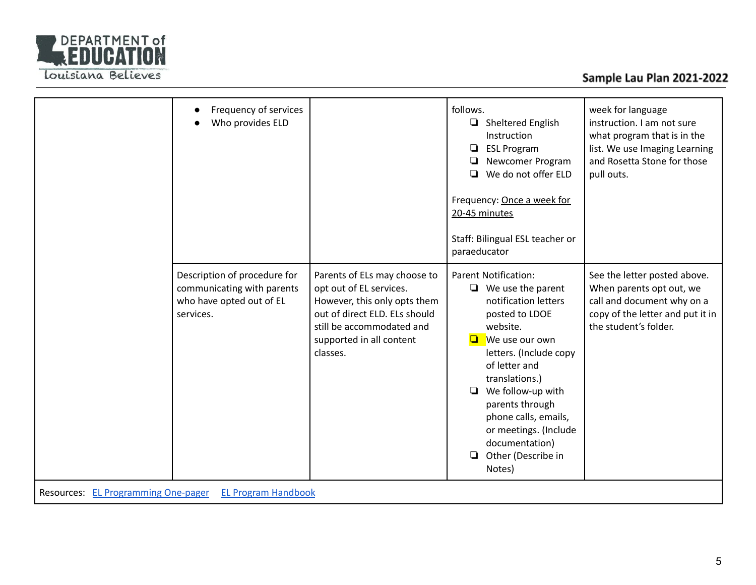

# Sample Lau Plan 2021-2022

|                                                                   | Frequency of services<br>$\bullet$<br>Who provides ELD                                              |                                                                                                                                                                                               | follows.<br>$\Box$ Sheltered English<br>Instruction<br><b>ESL Program</b><br>□<br>Newcomer Program<br>❏<br>We do not offer ELD<br>◘<br>Frequency: Once a week for<br>20-45 minutes<br>Staff: Bilingual ESL teacher or<br>paraeducator                                                                                                             | week for language<br>instruction. I am not sure<br>what program that is in the<br>list. We use Imaging Learning<br>and Rosetta Stone for those<br>pull outs. |
|-------------------------------------------------------------------|-----------------------------------------------------------------------------------------------------|-----------------------------------------------------------------------------------------------------------------------------------------------------------------------------------------------|---------------------------------------------------------------------------------------------------------------------------------------------------------------------------------------------------------------------------------------------------------------------------------------------------------------------------------------------------|--------------------------------------------------------------------------------------------------------------------------------------------------------------|
|                                                                   | Description of procedure for<br>communicating with parents<br>who have opted out of EL<br>services. | Parents of ELs may choose to<br>opt out of EL services.<br>However, this only opts them<br>out of direct ELD. ELs should<br>still be accommodated and<br>supported in all content<br>classes. | <b>Parent Notification:</b><br>$\Box$ We use the parent<br>notification letters<br>posted to LDOE<br>website.<br>We use our own<br>O<br>letters. (Include copy<br>of letter and<br>translations.)<br>We follow-up with<br>▫<br>parents through<br>phone calls, emails,<br>or meetings. (Include<br>documentation)<br>Other (Describe in<br>Notes) | See the letter posted above.<br>When parents opt out, we<br>call and document why on a<br>copy of the letter and put it in<br>the student's folder.          |
| <b>EL Program Handbook</b><br>Resources: EL Programming One-pager |                                                                                                     |                                                                                                                                                                                               |                                                                                                                                                                                                                                                                                                                                                   |                                                                                                                                                              |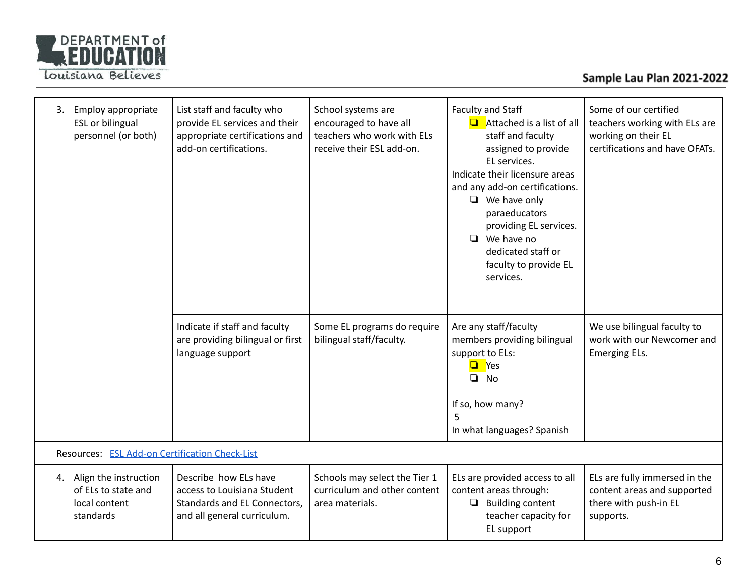

# Sample Lau Plan 2021-2022

| Employ appropriate<br>3.<br><b>ESL</b> or bilingual<br>personnel (or both)    | List staff and faculty who<br>provide EL services and their<br>appropriate certifications and<br>add-on certifications. | School systems are<br>encouraged to have all<br>teachers who work with ELs<br>receive their ESL add-on. | Faculty and Staff<br>$\Box$ Attached is a list of all<br>staff and faculty<br>assigned to provide<br>EL services.<br>Indicate their licensure areas<br>and any add-on certifications.<br>$\Box$ We have only<br>paraeducators<br>providing EL services.<br>$\Box$ We have no<br>dedicated staff or<br>faculty to provide EL<br>services. | Some of our certified<br>teachers working with ELs are<br>working on their EL<br>certifications and have OFATs. |
|-------------------------------------------------------------------------------|-------------------------------------------------------------------------------------------------------------------------|---------------------------------------------------------------------------------------------------------|------------------------------------------------------------------------------------------------------------------------------------------------------------------------------------------------------------------------------------------------------------------------------------------------------------------------------------------|-----------------------------------------------------------------------------------------------------------------|
|                                                                               | Indicate if staff and faculty<br>are providing bilingual or first<br>language support                                   | Some EL programs do require<br>bilingual staff/faculty.                                                 | Are any staff/faculty<br>members providing bilingual<br>support to ELs:<br><b>Q</b> Yes<br>$\Box$<br><b>No</b><br>If so, how many?<br>5<br>In what languages? Spanish                                                                                                                                                                    | We use bilingual faculty to<br>work with our Newcomer and<br><b>Emerging ELs.</b>                               |
| Resources: ESL Add-on Certification Check-List                                |                                                                                                                         |                                                                                                         |                                                                                                                                                                                                                                                                                                                                          |                                                                                                                 |
| 4. Align the instruction<br>of ELs to state and<br>local content<br>standards | Describe how ELs have<br>access to Louisiana Student<br>Standards and EL Connectors,<br>and all general curriculum.     | Schools may select the Tier 1<br>curriculum and other content<br>area materials.                        | ELs are provided access to all<br>content areas through:<br>$\Box$ Building content<br>teacher capacity for<br>EL support                                                                                                                                                                                                                | ELs are fully immersed in the<br>content areas and supported<br>there with push-in EL<br>supports.              |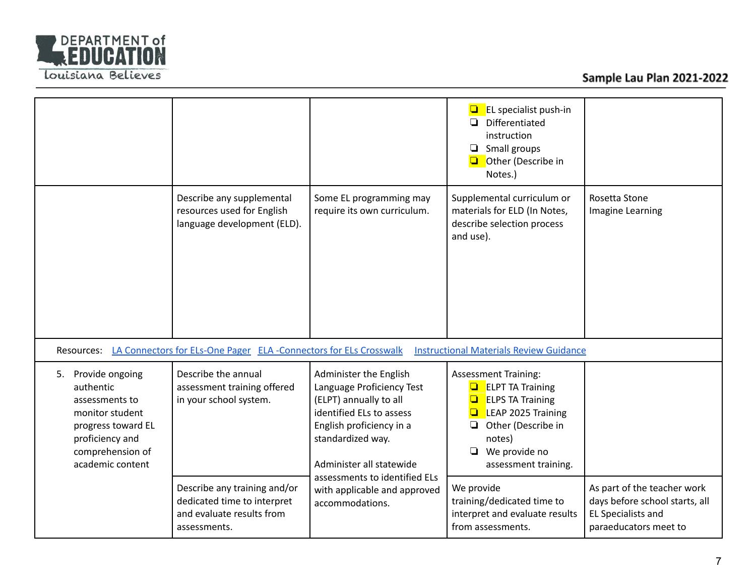

|                                                                                                                                                          |                                                                                                          |                                                                                                                                                                                                                                                                            | EL specialist push-in<br>$\Box$ Differentiated<br>instruction<br>$\Box$ Small groups<br>Other (Describe in<br>Notes.)                                                                                    |                                                                                                                     |
|----------------------------------------------------------------------------------------------------------------------------------------------------------|----------------------------------------------------------------------------------------------------------|----------------------------------------------------------------------------------------------------------------------------------------------------------------------------------------------------------------------------------------------------------------------------|----------------------------------------------------------------------------------------------------------------------------------------------------------------------------------------------------------|---------------------------------------------------------------------------------------------------------------------|
|                                                                                                                                                          | Describe any supplemental<br>resources used for English<br>language development (ELD).                   | Some EL programming may<br>require its own curriculum.                                                                                                                                                                                                                     | Supplemental curriculum or<br>materials for ELD (In Notes,<br>describe selection process<br>and use).                                                                                                    | Rosetta Stone<br>Imagine Learning                                                                                   |
|                                                                                                                                                          | Resources: LA Connectors for ELs-One Pager ELA-Connectors for ELs Crosswalk                              |                                                                                                                                                                                                                                                                            | <b>Instructional Materials Review Guidance</b>                                                                                                                                                           |                                                                                                                     |
| Provide ongoing<br>5.<br>authentic<br>assessments to<br>monitor student<br>progress toward EL<br>proficiency and<br>comprehension of<br>academic content | Describe the annual<br>assessment training offered<br>in your school system.                             | Administer the English<br>Language Proficiency Test<br>(ELPT) annually to all<br>identified ELs to assess<br>English proficiency in a<br>standardized way.<br>Administer all statewide<br>assessments to identified ELs<br>with applicable and approved<br>accommodations. | <b>Assessment Training:</b><br><b>ELPT TA Training</b><br><b>ELPS TA Training</b><br><b>LEAP 2025 Training</b><br>Other (Describe in<br>$\Box$<br>notes)<br>$\Box$ We provide no<br>assessment training. |                                                                                                                     |
|                                                                                                                                                          | Describe any training and/or<br>dedicated time to interpret<br>and evaluate results from<br>assessments. |                                                                                                                                                                                                                                                                            | We provide<br>training/dedicated time to<br>interpret and evaluate results<br>from assessments.                                                                                                          | As part of the teacher work<br>days before school starts, all<br><b>EL Specialists and</b><br>paraeducators meet to |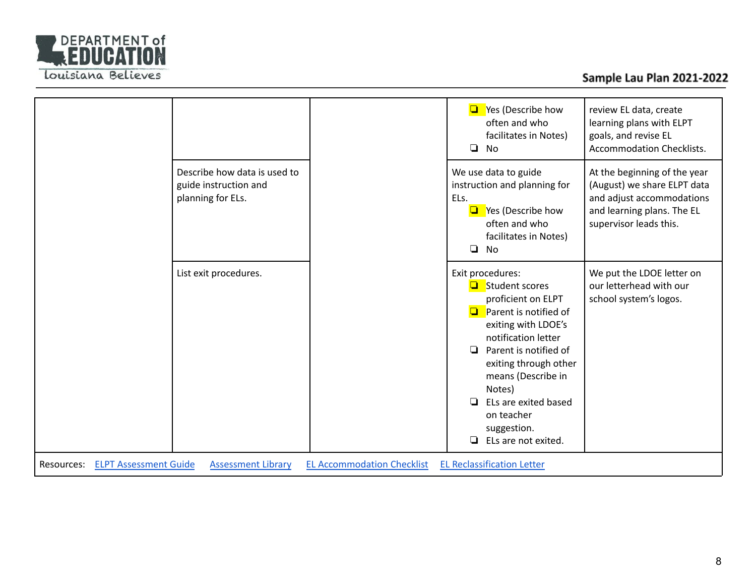

| Describe how data is used to<br>guide instruction and<br>planning for ELs. |                                   | Yes (Describe how<br>$\Box$<br>often and who<br>facilitates in Notes)<br>$\Box$<br><b>No</b><br>We use data to guide<br>instruction and planning for<br>ELs.<br>Yes (Describe how<br>$\Box$<br>often and who<br>facilitates in Notes)<br>$\Box$<br>No                                                                       | review EL data, create<br>learning plans with ELPT<br>goals, and revise EL<br><b>Accommodation Checklists.</b><br>At the beginning of the year<br>(August) we share ELPT data<br>and adjust accommodations<br>and learning plans. The EL<br>supervisor leads this. |
|----------------------------------------------------------------------------|-----------------------------------|-----------------------------------------------------------------------------------------------------------------------------------------------------------------------------------------------------------------------------------------------------------------------------------------------------------------------------|--------------------------------------------------------------------------------------------------------------------------------------------------------------------------------------------------------------------------------------------------------------------|
| List exit procedures.                                                      |                                   | Exit procedures:<br>Student scores<br>proficient on ELPT<br>Parent is notified of<br>$\Box$<br>exiting with LDOE's<br>notification letter<br>Parent is notified of<br>◘<br>exiting through other<br>means (Describe in<br>Notes)<br>ELs are exited based<br>▫<br>on teacher<br>suggestion.<br>$\Box$<br>ELs are not exited. | We put the LDOE letter on<br>our letterhead with our<br>school system's logos.                                                                                                                                                                                     |
| <b>ELPT Assessment Guide</b><br><b>Assessment Library</b><br>Resources:    | <b>EL Accommodation Checklist</b> | <b>EL Reclassification Letter</b>                                                                                                                                                                                                                                                                                           |                                                                                                                                                                                                                                                                    |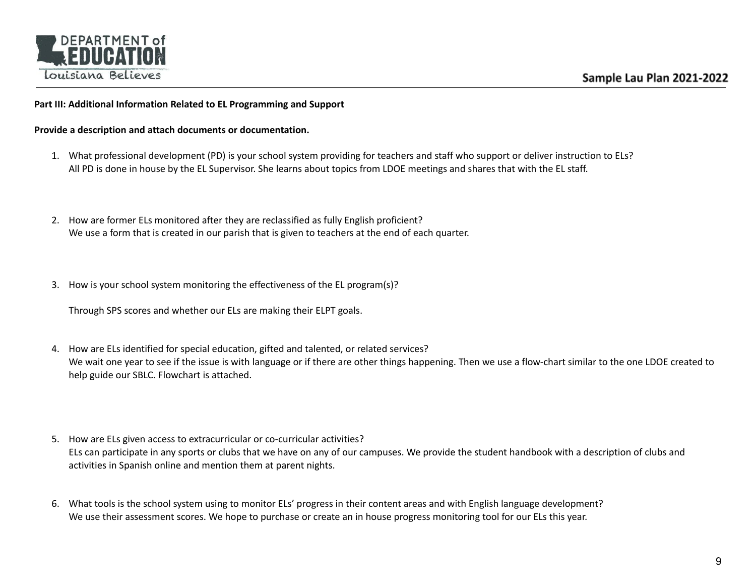

#### **Part III: Additional Information Related to EL Programming and Support**

**Provide a description and attach documents or documentation.**

- 1. What professional development (PD) is your school system providing for teachers and staff who support or deliver instruction to ELs? All PD is done in house by the EL Supervisor. She learns about topics from LDOE meetings and shares that with the EL staff.
- 2. How are former ELs monitored after they are reclassified as fully English proficient? We use a form that is created in our parish that is given to teachers at the end of each quarter.
- 3. How is your school system monitoring the effectiveness of the EL program(s)?

Through SPS scores and whether our ELs are making their ELPT goals.

- 4. How are ELs identified for special education, gifted and talented, or related services? We wait one year to see if the issue is with language or if there are other things happening. Then we use a flow-chart similar to the one LDOE created to help guide our SBLC. Flowchart is attached.
- 5. How are ELs given access to extracurricular or co-curricular activities? ELs can participate in any sports or clubs that we have on any of our campuses. We provide the student handbook with a description of clubs and activities in Spanish online and mention them at parent nights.
- 6. What tools is the school system using to monitor ELs' progress in their content areas and with English language development? We use their assessment scores. We hope to purchase or create an in house progress monitoring tool for our ELs this year.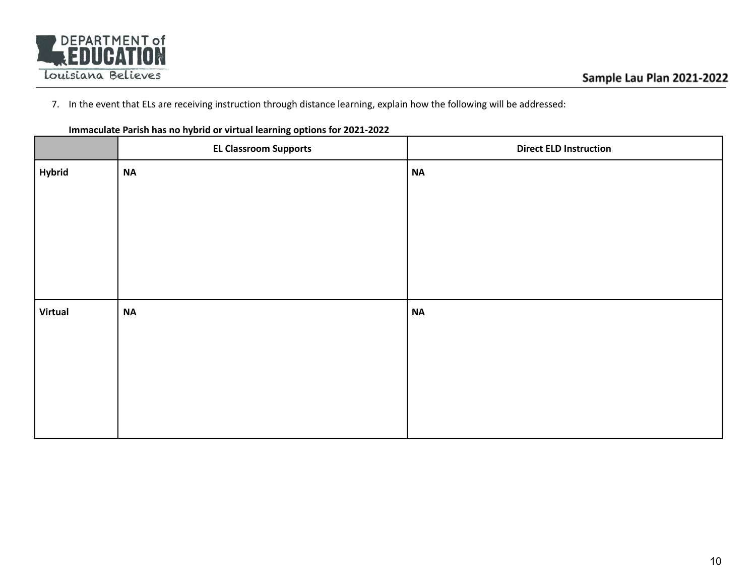

7. In the event that ELs are receiving instruction through distance learning, explain how the following will be addressed:

|                | <u>.</u><br><b>EL Classroom Supports</b> | <b>Direct ELD Instruction</b> |
|----------------|------------------------------------------|-------------------------------|
| <b>Hybrid</b>  | <b>NA</b>                                | $\sf NA$                      |
|                |                                          |                               |
|                |                                          |                               |
|                |                                          |                               |
|                |                                          |                               |
|                |                                          |                               |
| <b>Virtual</b> | <b>NA</b>                                | $\sf NA$                      |
|                |                                          |                               |
|                |                                          |                               |
|                |                                          |                               |
|                |                                          |                               |
|                |                                          |                               |

**Immaculate Parish has no hybrid or virtual learning options for 2021-2022**